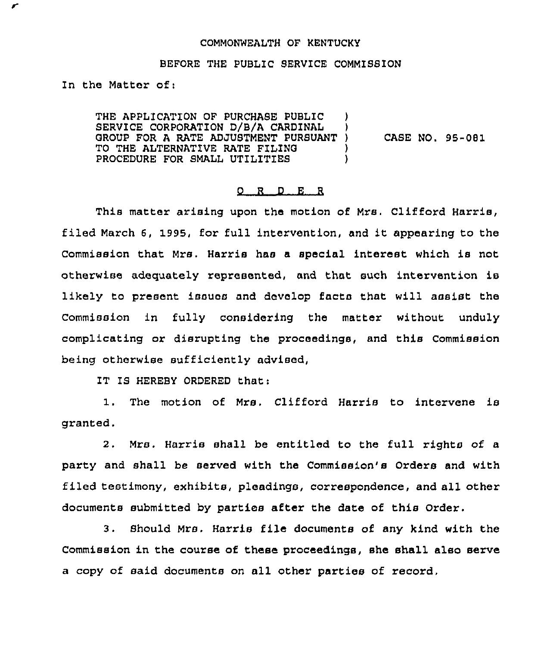## COMMONWEALTH OF KENTUCKY

## BEFORE THE PUBLIC SERVICE COMMISSION

In the Matter of;

╭

THE APPLICATION OF PURCHASE PUBLIC SERVICE CORPORATION D/B/A CARDINAL GROUP FOR A RATE ADJUSTMENT PURSUANT ) CASE NO. 95-081<br>TO THE ALTERNATIVE RATE FILING TO THE ALTERNATIVE RATE FILING  $\qquad$  )<br>procedure for small utilities  $\qquad$  ) PROCEDURE FOR SMALL UTILITIES

## 0 R <sup>D</sup> E R

This matter arising upon the motion of Mrs. Clifford Harris, filed March 6, 1995, for full intervention, and it appearing to the Commission that Mrs. Harris has a special interest which is not otherwise adequately represented, and that such intervention is likely to present issuas and develop facts that will assist the Commission in fully considering the matter without unduly complicating or disrupting the proceedings, and this Commission being otherwise sufficiently advised,

IT IS HEREBY ORDERED that:

1. The motion of Mrs. Clifford Harris to intervene is granted.

2. Mrs. Harris shall be entitled to the full rights of a party and shall be served with the Commission's Orders and with filed testimony, exhibits, pleadings, correspondence, and all other documents submitted by parties after the date of this Order.

3. Should Mrs. Harris file documents of any kind with the Commission in the course of these proceedings, she shall also serve a copy of said documents on all other parties of record,